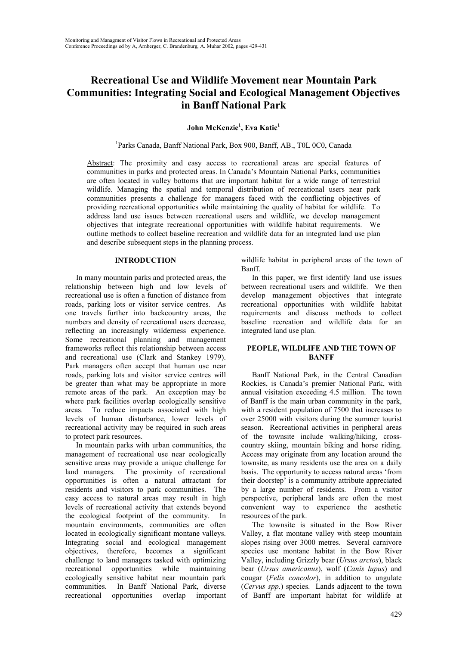# **Recreational Use and Wildlife Movement near Mountain Park Communities: Integrating Social and Ecological Management Objectives in Banff National Park**

# **John McKenzie<sup>1</sup> , Eva Katic<sup>1</sup>**

<sup>1</sup>Parks Canada, Banff National Park, Box 900, Banff, AB., T0L 0C0, Canada

Abstract: The proximity and easy access to recreational areas are special features of communities in parks and protected areas. In Canada's Mountain National Parks, communities are often located in valley bottoms that are important habitat for a wide range of terrestrial wildlife. Managing the spatial and temporal distribution of recreational users near park communities presents a challenge for managers faced with the conflicting objectives of providing recreational opportunities while maintaining the quality of habitat for wildlife. To address land use issues between recreational users and wildlife, we develop management objectives that integrate recreational opportunities with wildlife habitat requirements. We outline methods to collect baseline recreation and wildlife data for an integrated land use plan and describe subsequent steps in the planning process.

## **INTRODUCTION**

In many mountain parks and protected areas, the relationship between high and low levels of recreational use is often a function of distance from roads, parking lots or visitor service centres. As one travels further into backcountry areas, the numbers and density of recreational users decrease, reflecting an increasingly wilderness experience. Some recreational planning and management frameworks reflect this relationship between access and recreational use (Clark and Stankey 1979). Park managers often accept that human use near roads, parking lots and visitor service centres will be greater than what may be appropriate in more remote areas of the park. An exception may be where park facilities overlap ecologically sensitive areas. To reduce impacts associated with high levels of human disturbance, lower levels of recreational activity may be required in such areas to protect park resources.

In mountain parks with urban communities, the management of recreational use near ecologically sensitive areas may provide a unique challenge for land managers. The proximity of recreational opportunities is often a natural attractant for residents and visitors to park communities. The easy access to natural areas may result in high levels of recreational activity that extends beyond the ecological footprint of the community. In mountain environments, communities are often located in ecologically significant montane valleys. Integrating social and ecological management objectives, therefore, becomes a significant challenge to land managers tasked with optimizing recreational opportunities while maintaining ecologically sensitive habitat near mountain park communities. In Banff National Park, diverse recreational opportunities overlap important

wildlife habitat in peripheral areas of the town of Banff.

In this paper, we first identify land use issues between recreational users and wildlife. We then develop management objectives that integrate recreational opportunities with wildlife habitat requirements and discuss methods to collect baseline recreation and wildlife data for an integrated land use plan.

## **PEOPLE, WILDLIFE AND THE TOWN OF BANFF**

Banff National Park, in the Central Canadian Rockies, is Canada's premier National Park, with annual visitation exceeding 4.5 million. The town of Banff is the main urban community in the park, with a resident population of 7500 that increases to over 25000 with visitors during the summer tourist season. Recreational activities in peripheral areas of the townsite include walking/hiking, crosscountry skiing, mountain biking and horse riding. Access may originate from any location around the townsite, as many residents use the area on a daily basis. The opportunity to access natural areas 'from their doorstep' is a community attribute appreciated by a large number of residents. From a visitor perspective, peripheral lands are often the most convenient way to experience the aesthetic resources of the park.

The townsite is situated in the Bow River Valley, a flat montane valley with steep mountain slopes rising over 3000 metres. Several carnivore species use montane habitat in the Bow River Valley, including Grizzly bear (*Ursus arctos*), black bear (*Ursus americanus*), wolf (*Canis lupus*) and cougar (*Felis concolor*), in addition to ungulate (*Cervus spp.*) species. Lands adjacent to the town of Banff are important habitat for wildlife at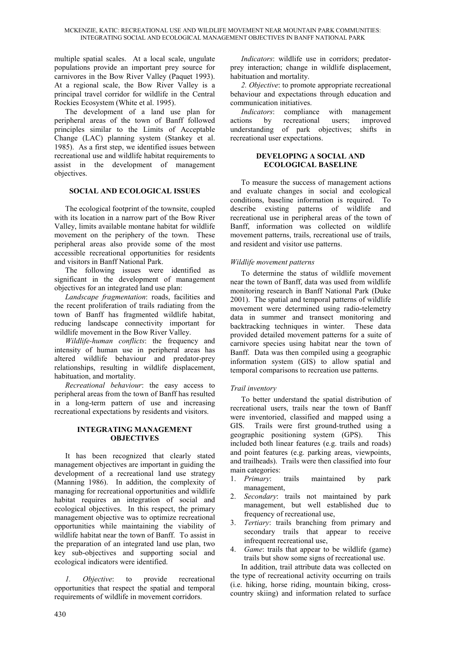multiple spatial scales. At a local scale, ungulate populations provide an important prey source for carnivores in the Bow River Valley (Paquet 1993). At a regional scale, the Bow River Valley is a principal travel corridor for wildlife in the Central Rockies Ecosystem (White et al. 1995).

The development of a land use plan for peripheral areas of the town of Banff followed principles similar to the Limits of Acceptable Change (LAC) planning system (Stankey et al. 1985). As a first step, we identified issues between recreational use and wildlife habitat requirements to assist in the development of management objectives.

## **SOCIAL AND ECOLOGICAL ISSUES**

The ecological footprint of the townsite, coupled with its location in a narrow part of the Bow River Valley, limits available montane habitat for wildlife movement on the periphery of the town. These peripheral areas also provide some of the most accessible recreational opportunities for residents and visitors in Banff National Park.

The following issues were identified as significant in the development of management objectives for an integrated land use plan:

*Landscape fragmentation*: roads, facilities and the recent proliferation of trails radiating from the town of Banff has fragmented wildlife habitat, reducing landscape connectivity important for wildlife movement in the Bow River Valley.

*Wildlife-human conflicts*: the frequency and intensity of human use in peripheral areas has altered wildlife behaviour and predator-prey relationships, resulting in wildlife displacement, habituation, and mortality.

*Recreational behaviour*: the easy access to peripheral areas from the town of Banff has resulted in a long-term pattern of use and increasing recreational expectations by residents and visitors.

#### **INTEGRATING MANAGEMENT OBJECTIVES**

It has been recognized that clearly stated management objectives are important in guiding the development of a recreational land use strategy (Manning 1986). In addition, the complexity of managing for recreational opportunities and wildlife habitat requires an integration of social and ecological objectives. In this respect, the primary management objective was to optimize recreational opportunities while maintaining the viability of wildlife habitat near the town of Banff. To assist in the preparation of an integrated land use plan, two key sub-objectives and supporting social and ecological indicators were identified.

*1. Objective*: to provide recreational opportunities that respect the spatial and temporal requirements of wildlife in movement corridors.

*Indicators*: wildlife use in corridors; predatorprey interaction; change in wildlife displacement, habituation and mortality.

*2. Objective*: to promote appropriate recreational behaviour and expectations through education and communication initiatives.

*Indicators*: compliance with management actions by recreational users; improved understanding of park objectives; shifts in recreational user expectations.

#### **DEVELOPING A SOCIAL AND ECOLOGICAL BASELINE**

To measure the success of management actions and evaluate changes in social and ecological conditions, baseline information is required. To describe existing patterns of wildlife and recreational use in peripheral areas of the town of Banff, information was collected on wildlife movement patterns, trails, recreational use of trails, and resident and visitor use patterns.

## *Wildlife movement patterns*

To determine the status of wildlife movement near the town of Banff, data was used from wildlife monitoring research in Banff National Park (Duke 2001). The spatial and temporal patterns of wildlife movement were determined using radio-telemetry data in summer and transect monitoring and backtracking techniques in winter. These data provided detailed movement patterns for a suite of carnivore species using habitat near the town of Banff. Data was then compiled using a geographic information system (GIS) to allow spatial and temporal comparisons to recreation use patterns.

## *Trail inventory*

To better understand the spatial distribution of recreational users, trails near the town of Banff were inventoried, classified and mapped using a GIS. Trails were first ground-truthed using a geographic positioning system (GPS). This included both linear features (e.g. trails and roads) and point features (e.g. parking areas, viewpoints, and trailheads). Trails were then classified into four main categories:

- 1. *Primary*: trails maintained by park management,
- 2. *Secondary*: trails not maintained by park management, but well established due to frequency of recreational use,
- 3. *Tertiary*: trails branching from primary and secondary trails that appear to receive infrequent recreational use,
- 4. *Game*: trails that appear to be wildlife (game) trails but show some signs of recreational use.

In addition, trail attribute data was collected on the type of recreational activity occurring on trails (i.e. hiking, horse riding, mountain biking, crosscountry skiing) and information related to surface